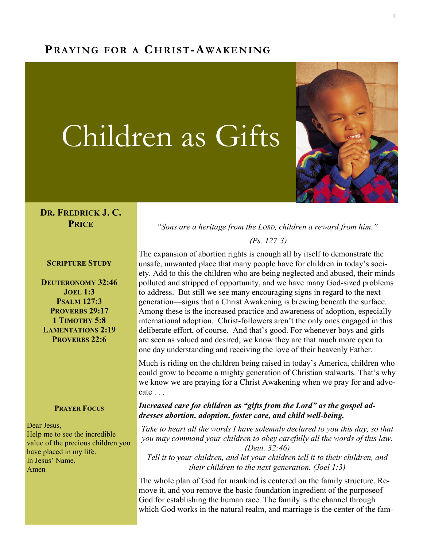# PRAYING FOR A CHRIST-AWAKENING

# Children as Gifts



#### DR. FREDRICK J. C. **PRICE**

SCRIPTURE STUDY

DEUTERONOMY 32:46 JOEL 1:3 PSALM 127:3 PROVERBS 29:17 1 TIMOTHY 5:8 LAMENTATIONS 2:19 PROVERBS 22:6

#### **PRAYER FOCUS**

Dear Jesus, Help me to see the incredible value of the precious children you have placed in my life. In Jesus' Name, Amen

"Sons are a heritage from the LORD, children a reward from him."

(Ps. 127:3)

The expansion of abortion rights is enough all by itself to demonstrate the unsafe, unwanted place that many people have for children in today's society. Add to this the children who are being neglected and abused, their minds polluted and stripped of opportunity, and we have many God-sized problems to address. But still we see many encouraging signs in regard to the next generation—signs that a Christ Awakening is brewing beneath the surface. Among these is the increased practice and awareness of adoption, especially international adoption. Christ-followers aren't the only ones engaged in this deliberate effort, of course. And that's good. For whenever boys and girls are seen as valued and desired, we know they are that much more open to one day understanding and receiving the love of their heavenly Father.

Much is riding on the children being raised in today's America, children who could grow to become a mighty generation of Christian stalwarts. That's why we know we are praying for a Christ Awakening when we pray for and advocate . . .

#### Increased care for children as "gifts from the Lord" as the gospel addresses abortion, adoption, foster care, and child well-being.

Take to heart all the words I have solemnly declared to you this day, so that you may command your children to obey carefully all the words of this law. (Deut. 32:46)

Tell it to your children, and let your children tell it to their children, and their children to the next generation. (Joel 1:3)

The whole plan of God for mankind is centered on the family structure. Remove it, and you remove the basic foundation ingredient of the purposeof God for establishing the human race. The family is the channel through which God works in the natural realm, and marriage is the center of the fam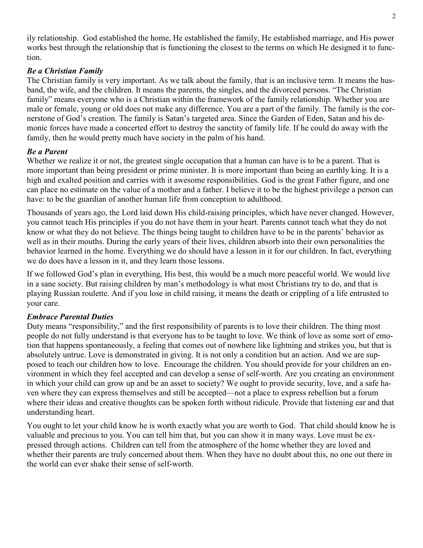ily relationship. God established the home, He established the family, He established marriage, and His power works best through the relationship that is functioning the closest to the terms on which He designed it to function.

#### Be a Christian Family

The Christian family is very important. As we talk about the family, that is an inclusive term. It means the husband, the wife, and the children. It means the parents, the singles, and the divorced persons. "The Christian family" means everyone who is a Christian within the framework of the family relationship. Whether you are male or female, young or old does not make any difference. You are a part of the family. The family is the cornerstone of God's creation. The family is Satan's targeted area. Since the Garden of Eden, Satan and his demonic forces have made a concerted effort to destroy the sanctity of family life. If he could do away with the family, then he would pretty much have society in the palm of his hand.

## Be a Parent

Whether we realize it or not, the greatest single occupation that a human can have is to be a parent. That is more important than being president or prime minister. It is more important than being an earthly king. It is a high and exalted position and carries with it awesome responsibilities. God is the great Father figure, and one can place no estimate on the value of a mother and a father. I believe it to be the highest privilege a person can have: to be the guardian of another human life from conception to adulthood.

Thousands of years ago, the Lord laid down His child-raising principles, which have never changed. However, you cannot teach His principles if you do not have them in your heart. Parents cannot teach what they do not know or what they do not believe. The things being taught to children have to be in the parents' behavior as well as in their mouths. During the early years of their lives, children absorb into their own personalities the behavior learned in the home. Everything we do should have a lesson in it for our children. In fact, everything we do does have a lesson in it, and they learn those lessons.

If we followed God's plan in everything, His best, this would be a much more peaceful world. We would live in a sane society. But raising children by man's methodology is what most Christians try to do, and that is playing Russian roulette. And if you lose in child raising, it means the death or crippling of a life entrusted to your care.

## Embrace Parental Duties

Duty means "responsibility," and the first responsibility of parents is to love their children. The thing most people do not fully understand is that everyone has to be taught to love. We think of love as some sort of emotion that happens spontaneously, a feeling that comes out of nowhere like lightning and strikes you, but that is absolutely untrue. Love is demonstrated in giving. It is not only a condition but an action. And we are supposed to teach our children how to love. Encourage the children. You should provide for your children an environment in which they feel accepted and can develop a sense of self-worth. Are you creating an environment in which your child can grow up and be an asset to society? We ought to provide security, love, and a safe haven where they can express themselves and still be accepted—not a place to express rebellion but a forum where their ideas and creative thoughts can be spoken forth without ridicule. Provide that listening ear and that understanding heart.

You ought to let your child know he is worth exactly what you are worth to God. That child should know he is valuable and precious to you. You can tell him that, but you can show it in many ways. Love must be expressed through actions. Children can tell from the atmosphere of the home whether they are loved and whether their parents are truly concerned about them. When they have no doubt about this, no one out there in the world can ever shake their sense of self-worth.